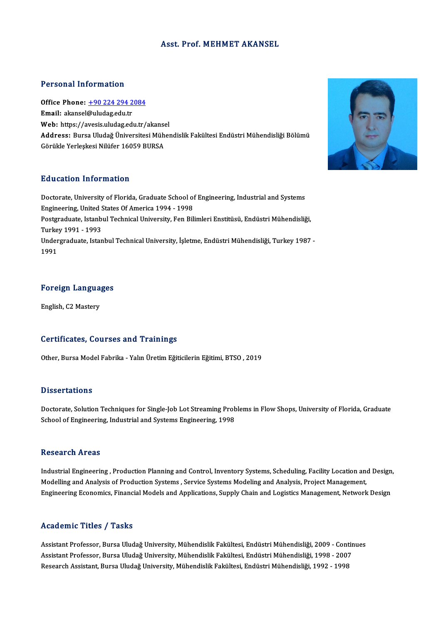### Asst. Prof.MEHMET AKANSEL

### Personal Information

Personal Information<br>Office Phone: <u>+90 224 294 2084</u><br>Email: alansel@uludag.edu.tr Personal Information<br>Office Phone: <u>+90 224 294 2</u><br>Email: akansel[@uludag.edu.tr](tel:+90 224 294 2084) Office Phone: <u>+90 224 294 2084</u><br>Email: akansel@uludag.edu.tr<br>Web: https://avesis.uludag.edu.tr/akansel<br>Address. Purse Uludağ Üniversitesi Müher Email: akansel@uludag.edu.tr<br>Web: https://avesis.uludag.edu.tr/akansel<br>Address: Bursa Uludağ Üniversitesi Mühendislik Fakültesi Endüstri Mühendisliği Bölümü<br>Görükle Yerleskesi Nilüfer 16059 BURSA **Web:** https://avesis.uludag.edu.tr/akanse<br><mark>Address:</mark> Bursa Uludağ Üniversitesi Müh<br>Görükle Yerleşkesi Nilüfer 16059 BURSA

### Education Information

Education Information<br>Doctorate, University of Florida, Graduate School of Engineering, Industrial and Systems<br>Engineering, United States Of America 1994, 1998 Eu acation Tirror macron<br>Doctorate, University of Florida, Graduate School of<br>Engineering, United States Of America 1994 - 1998<br>Restaudints, Istanbul Technical University, Een Bil Postgraduate, Istanbul Technical University, Fen Bilimleri Enstitüsü, Endüstri Mühendisliği, Engineering, United States Of America 1994 - 1998 Undergraduate, Istanbul Technical University, İşletme, Endüstri Mühendisliği, Turkey 1987 -<br>1991 Turkey 1991 - 1993

## Foreign Languages F<mark>oreign Langua</mark><br>English, C2 Mastery

## English, C2 Mastery<br>Certificates, Courses and Trainings

Other, Bursa Model Fabrika - Yalın Üretim Eğiticilerin Eğitimi, BTSO, 2019

### **Dissertations**

Dissertations<br>Doctorate, Solution Techniques for Single-Job Lot Streaming Problems in Flow Shops, University of Florida, Graduate<br>School of Engineering, Industrial and Systems Engineering, 1998 Basser tacrons<br>Doctorate, Solution Techniques for Single-Job Lot Streaming Prob<br>School of Engineering, Industrial and Systems Engineering, 1998 School of Engineering, Industrial and Systems Engineering, 1998<br>Research Areas

Research Areas<br>Industrial Engineering , Production Planning and Control, Inventory Systems, Scheduling, Facility Location and Design,<br>Modelling and Anglysis of Production Systems, Service Systems Modeling and Anglysis Proj Modelling and Analysis of Production Systems , Service Systems Modeling and Analysis, Project Management,<br>Engineering Economics, Financial Models and Applications, Supply Chain and Logistics Management, Network Design Industrial Engineering , Production Planning and Control, Inventory Systems, Scheduling, Facility Location and Design<br>Modelling and Analysis of Production Systems , Service Systems Modeling and Analysis, Project Management

### Academic Titles / Tasks

Assistant Professor, Bursa Uludağ University, Mühendislik Fakültesi, Endüstri Mühendisliği, 2009 - Continues Assistant Professor, Bursa Uludağ University, Mühendislik Fakültesi, Endüstri Mühendisliği, 2009 - Contin<br>Assistant Professor, Bursa Uludağ University, Mühendislik Fakültesi, Endüstri Mühendisliği, 1998 - 2007<br>Researsh Ass Assistant Professor, Bursa Uludağ University, Mühendislik Fakültesi, Endüstri Mühendisliği, 2009 - Conti<br>Assistant Professor, Bursa Uludağ University, Mühendislik Fakültesi, Endüstri Mühendisliği, 1998 - 2007<br>Research Assi

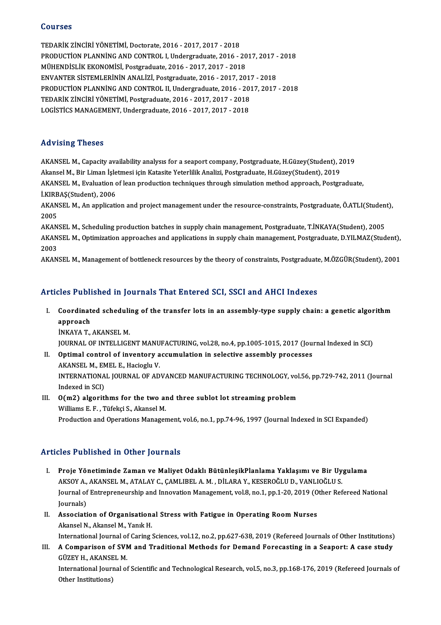## Courses

Courses<br>TEDARİK ZİNCİRİ YÖNETİMİ, Doctorate, 2016 - 2017, 2017 - 2018<br>PRODUCTİON BLANNİNC AND CONTROL LURDETRE de 1916 PRODUCTION PLANNING AND CONTROL I, Undergraduate, 2016 - 2017, 2017 - 2018<br>MÜHENDISLIK EKONOMISI, Postgraduate, 2016 - 2017, 2017 - 2018 TEDARIK ZINCIRI YÖNETIMI, Doctorate, 2016 - 2017, 2017 - 2018<br>PRODUCTION PLANNING AND CONTROL I, Undergraduate, 2016 - 20<br>MÜHENDİSLİK EKONOMİSİ, Postgraduate, 2016 - 2017, 2017 - 2018<br>ENVANTER SİSTEMI ERİNİN ANALİZİ, Bostg PRODUCTION PLANNING AND CONTROL I, Undergraduate, 2016 - 2017, 2017 -<br>MÜHENDISLIK EKONOMISI, Postgraduate, 2016 - 2017, 2017 - 2018<br>ENVANTER SISTEMLERININ ANALIZI, Postgraduate, 2016 - 2017, 2017 - 2018<br>PRODUCTION BLANNING MÜHENDİSLİK EKONOMİSİ, Postgraduate, 2016 - 2017, 2017 - 2018<br>ENVANTER SİSTEMLERİNİN ANALİZİ, Postgraduate, 2016 - 2017, 2017 - 2018<br>PRODUCTİON PLANNİNG AND CONTROL II, Undergraduate, 2016 - 2017, 2017 - 2018<br>TEDARİK ZİNCİ ENVANTER SİSTEMLERİNİN ANALİZİ, Postgraduate, 2016 - 2017, 2017<br>PRODUCTİON PLANNİNG AND CONTROL II, Undergraduate, 2016 - 201<br>TEDARİK ZİNCİRİ YÖNETİMİ, Postgraduate, 2016 - 2017, 2017 - 2018<br>LOCİSTİCS MANACEMENT, Undergrad PRODUCTION PLANNING AND CONTROL II, Undergraduate, 2016 - 20<br>TEDARIK ZINCIRI YÖNETIMI, Postgraduate, 2016 - 2017, 2017 - 2018<br>LOGISTICS MANAGEMENT, Undergraduate, 2016 - 2017, 2017 - 2018 LOGISTICS MANAGEMENT, Undergraduate, 2016 - 2017, 2017 - 2018<br>Advising Theses

Advising Theses<br>AKANSEL M., Capacity availability analysıs for a seaport company, Postgraduate, H.Güzey(Student), 2019<br>Akansel M. Bir Liman İslatmasi isin Katasite Veterlilik Analizi, Bestaraduate, H.Güzey(Student), 2019 11d v 1511g<br>AKANSEL M., Capacity availability analysis for a seaport company, Postgraduate, H.Güzey(Student), 2<br>Akansel M., Bir Liman İşletmesi için Katasite Yeterlilik Analizi, Postgraduate, H.Güzey(Student), 2019<br>AKANSEL AKANSEL M., Capacity availability analysis for a seaport company, Postgraduate, H.Güzey(Student), 2019<br>Akansel M., Bir Liman İşletmesi için Katasite Yeterlilik Analizi, Postgraduate, H.Güzey(Student), 2019<br>AKANSEL M., Eval Akansel M., Bir Liman İşletmesi için Katasite Yeterlilik Analizi, Postgraduate, H.Güzey(Student), 2019<br>AKANSEL M., Evaluation of lean production techniques through simulation method approach, Postgraduate,<br>İ.KIRBAŞ(Student AKANSEL M., Evaluation of lean production techniques through simulation method approach, Postgraduate,<br>İ.KIRBAŞ(Student), 2006<br>AKANSEL M., An application and project management under the resource-constraints, Postgraduate,

**I.KIRB**<br>AKAN<br>2005<br>AKAN AKANSEL M., An application and project management under the resource-constraints, Postgraduate, Ö.ATLI(Studen<br>2005<br>AKANSEL M., Scheduling production batches in supply chain management, Postgraduate, T.İNKAYA(Student), 2005

2005<br>AKANSEL M., Scheduling production batches in supply chain management, Postgraduate, T.İNKAYA(Student), 2005<br>AKANSEL M., Optimization approaches and applications in supply chain management, Postgraduate, D.YILMAZ(Stude AKAN<br>AKAN<br>2003<br>AKAN AKANSEL M., Optimization approaches and applications in supply chain management, Postgraduate, D.YILMAZ(Student),<br>2003<br>AKANSEL M., Management of bottleneck resources by the theory of constraints, Postgraduate, M.ÖZGÜR(Stud

AKANSEL M., Management of bottleneck resources by the theory of constraints, Postgraduate, M.ÖZGÜR(Student), 2001<br>Articles Published in Journals That Entered SCI, SSCI and AHCI Indexes

I. Coordinated scheduling of the transfer lots in an assembly-type supply chain: a genetic algorithm<br>I. Coordinated scheduling of the transfer lots in an assembly-type supply chain: a genetic algorithm cles I abli<br>Coordinat<br>approach<br>iNKAVA T Coordinated scheduli<br>approach<br>İNKAYA T., AKANSEL M.<br>IOUPNAL OF INTELLICE approach<br>İNKAYA T., AKANSEL M.<br>JOURNAL OF INTELLIGENT MANUFACTURING, vol.28, no.4, pp.1005-1015, 2017 (Journal Indexed in SCI)<br>Ontimal cantral of invantary assumulation in aslestive assembly prosesses.

- INKAYA T., AKANSEL M.<br>JOURNAL OF INTELLIGENT MANUFACTURING, vol.28, no.4, pp.1005-1015, 2017 (Jou<br>II. Optimal control of inventory accumulation in selective assembly processes
- JOURNAL OF INTELLIGENT MANU<br>Optimal control of inventory a<br>AKANSEL M., EMEL E., Hacioglu V.<br>INTERNATIONAL JOURNAL OF AD INTERNATIONAL JOURNAL OF ADVANCED MANUFACTURING TECHNOLOGY, vol.56, pp.729-742, 2011 (Journal Indexed in SCI) AKANSEL M., EMEL E., Hacioglu V. INTERNATIONAL JOURNAL OF ADVANCED MANUFACTURING TECHNOLOGY, vol<br>Indexed in SCI)<br>III.  $O(m2)$  algorithms for the two and three sublot lot streaming problem<br>Williams E.E. Tüfeksi S. Akansel M

## Indexed in SCI)<br>O(m2) algorithms for the two al<br>Williams E. F. , Tüfekçi S., Akansel M.<br>Production and Operations Manager Williams E. F. , Tüfekçi S., Akansel M.<br>Production and Operations Management, vol.6, no.1, pp.74-96, 1997 (Journal Indexed in SCI Expanded)

## Articles Published in Other Journals

- I. Proje Yönetiminde Zaman ve Maliyet Odaklı BütünleşikPlanlama Yaklaşımı ve Bir Uygulama<br>I. Proje Yönetiminde Zaman ve Maliyet Odaklı BütünleşikPlanlama Yaklaşımı ve Bir Uygulama<br>AKSOVA AKANSELM ATALAY G GAMLIBELA M. DİLA 220 - ABABACA AR OCHOI JOATALIB<br>Proje Yönetiminde Zaman ve Maliyet Odaklı BütünleşikPlanlama Yaklaşımı ve Bir Uy<br>AKSOY A., AKANSEL M., ATALAY C., ÇAMLIBEL A. M. , DİLARA Y., KESEROĞLU D., VANLIOĞLU S.<br>Journal of Entropropo Journal of Entrepreneurship and Innovation Management, vol.8, no.1, pp.1-20, 2019 (Other Refereed National Journals) AKSOY A., AKANSEL M., ATALAY C., ÇAMLIBEL A. M. , DİLARA Y., KESEROĞLU D., VANLIOĞLU S. Journal of Entrepreneurship and Innovation Management, vol.8, no.1, pp.1-20, 2019 (O<br>Journals)<br>II. Association of Organisational Stress with Fatigue in Operating Room Nurses<br>Almoed N. Almoed M. Yank H
- Journals)<br>Association of Organisation:<br>Akansel N., Akansel M., Yanık H.<br>International Journal of Caring ( Akansel N., Akansel M., Yanık H.<br>International Journal of Caring Sciences, vol.12, no.2, pp.627-638, 2019 (Refereed Journals of Other Institutions)

Akansel N., Akansel M., Yanık H.<br>International Journal of Caring Sciences, vol.12, no.2, pp.627-638, 2019 (Refereed Journals of Other Institutions)<br>III. A Comparison of SVM and Traditional Methods for Demand Forecasting International Journal of<br>A Comparison of SV<br>GÜZEY H., AKANSEL M.<br>International Journal of A Comparison of SVM and Traditional Methods for Demand Forecasting in a Seaport: A case study<br>GÜZEY H., AKANSEL M.<br>International Journal of Scientific and Technological Research, vol.5, no.3, pp.168-176, 2019 (Refereed Jou GÜZEY H., AKANSEL M.<br>International Journal of Scientific and Technological Research, vol.5, no.3, pp.168-176, 2019 (Refereed Journals of<br>Other Institutions)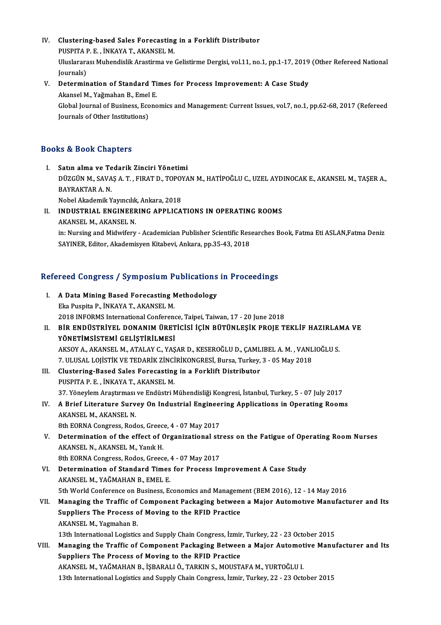- IV. Clustering-based Sales Forecasting in a Forklift Distributor **Clustering-based Sales Forecasting<br>PUSPITA P. E. , İNKAYA T., AKANSEL M.**<br>Uluslarares: Muhandislik Arastirma ve t Uluslararası Muhendislik Arastirma ve Gelistirme Dergisi, vol.11, no.1, pp.1-17, 2019 (Other Refereed National Iournals) PUSPITA P. E., İNKAYA T., AKANSEL M. Uluslararası Muhendislik Arastirma ve Gelistirme Dergisi, vol.11, no.1, pp.1-17, 2019<br>Journals)<br>V. Determination of Standard Times for Process Improvement: A Case Study<br>Akansel M. Yağmahan B. Emel E
- Journals)<br>Determination of Standard Ti<br>Akansel M., Yağmahan B., Emel E.<br>Clabel Journal of Business, Econo Determination of Standard Times for Process Improvement: A Case Study<br>Akansel M., Yağmahan B., Emel E.<br>Global Journal of Business, Economics and Management: Current Issues, vol.7, no.1, pp.62-68, 2017 (Refereed<br>Journals of Akansel M., Yağmahan B., Emel<br>Global Journal of Business, Eco<br>Journals of Other Institutions)

## Journals of Other Institutions)<br>Books & Book Chapters

- I. Satın alma ve Tedarik Zinciri Yönetimi IS & BOOK SHAPESIS<br>Satın alma ve Tedarik Zinciri Yönetimi<br>DÜZGÜN M., SAVAŞ A. T. , FIRAT D., TOPOYAN M., HATİPOĞLU C., UZEL AYDINOCAK E., AKANSEL M., TAŞER A., Satın alma ve Te<br>DÜZGÜN M., SAVA<br>BAYRAKTAR A. N.<br>Nobel Akademik V DÜZGÜN M., SAVAŞ A. T. , FIRAT D., TOPO)<br>BAYRAKTAR A. N.<br>Nobel Akademik Yayıncılık, Ankara, 2018<br>INDUSTRIAL, ENCINEERING ARRI ICA BAYRAKTAR A. N.<br>Nobel Akademik Yayıncılık, Ankara, 2018<br>II. INDUSTRIAL ENGINEERING APPLICATIONS IN OPERATING ROOMS<br>AKANSEL M. AKANSEL N
- Nobel Akademik Yayıncılık<br>INDUSTRIAL ENGINEER<br>AKANSEL M., AKANSEL N. AKANSEL M., AKANSEL N.<br>in: Nursing and Midwifery - Academician Publisher Scientific Researches Book, Fatma Eti ASLAN,Fatma Deniz SAYINER, Editor, Akademisyen Kitabevi, Ankara, pp.35-43, 2018

# SATINER, Editor, Akademisyen Kitabevi, Ankara, pp.55-45, 2018<br>Refereed Congress / Symposium Publications in Proceedings

Expected Congress / Symposium Publications<br>I. A Data Mining Based Forecasting Methodology<br>Elia Puenita B (NIXAVA T. AKANSEL M I. A Data Mining Based Forecasting Methodology<br>Eka Puspita P., İNKAYA T., AKANSEL M. 2018 INFORMS InternationalConference,Taipei,Taiwan,17 -20 June 2018 Eka Puspita P., İNKAYA T., AKANSEL M.<br>2018 INFORMS International Conference, Taipei, Taiwan, 17 - 20 June 2018<br>II. BİR ENDÜSTRİYEL DONANIM ÜRETİCİSİ İÇİN BÜTÜNLEŞİK PROJE TEKLİF HAZIRLAMA VE<br>YÖNETİMSİSTEMİ CELİSTİRİLMESİ 2018 INFORMS International Conference<br>BİR ENDÜSTRİYEL DONANIM ÜRET<br>YÖNETİMSİSTEMİ GELİŞTİRİLMESİ<br>AKSOVA AKANSEL MATALAY GAYAS BİR ENDÜSTRİYEL DONANIM ÜRETİCİSİ İÇİN BÜTÜNLEŞİK PROJE TEKLİF HAZIRLAI<br>YÖNETİMSİSTEMİ GELİŞTİRİLMESİ<br>AKSOY A., AKANSEL M., ATALAY C., YAŞAR D., KESEROĞLU D., ÇAMLIBEL A. M. , VANLIOĞLU S.<br>7. III USAL LOUSTIK VE TEDARIK Zİ YÖNETİMSİSTEMİ GELİŞTİRİLMESİ<br>AKSOY A., AKANSEL M., ATALAY C., YAŞAR D., KESEROĞLU D., ÇAMLIBEL A. M. , VANL<br>7. ULUSAL LOJİSTİK VE TEDARİK ZİNCİRİKONGRESİ, Bursa, Turkey, 3 - 05 May 2018<br>Glustaning Basad Salas Forosasting AKSOY A., AKANSEL M., ATALAY C., YAŞAR D., KESEROĞLU D., ÇAML<br>7. ULUSAL LOJİSTİK VE TEDARİK ZİNCİRİKONGRESİ, Bursa, Turkey,<br>III. Clustering-Based Sales Forecasting in a Forklift Distributor<br>PUSPITA B. E., İNKANA T. AKANSEL III. Clustering-Based Sales Forecasting in a Forklift Distributor PUSPITA P.E., İNKAYA T., AKANSEL M. Clustering-Based Sales Forecasting in a Forklift Distributor<br>PUSPITA P. E. , İNKAYA T., AKANSEL M.<br>37. Yöneylem Araştırması ve Endüstri Mühendisliği Kongresi, İstanbul, Turkey, 5 - 07 July 2017<br>A Prief Literature Sunyay On PUSPITA P. E. , İNKAYA T., AKANSEL M.<br>37. Yöneylem Araştırması ve Endüstri Mühendisliği Kongresi, İstanbul, Turkey, 5 - 07 July 2017<br>IV. A Brief Literature Survey On Industrial Engineering Applications in Operating Roo 37. Yöneylem Araştırması<br>**A Brief Literature Surv**<br>AKANSEL M., AKANSEL N.<br><sup>9th FODNA Congress Bod</sup> IV. A Brief Literature Survey On Industrial Engineering Applications in Operating Rooms<br>AKANSEL M., AKANSEL N.<br>8th EORNA Congress, Rodos, Greece, 4 - 07 May 2017 AKANSEL M., AKANSEL N.<br>8th EORNA Congress, Rodos, Greece, 4 - 07 May 2017<br>V. Determination of the effect of Organizational stress on the Fatigue of Operating Room Nurses<br>AKANSEL N. AKANSEL M. Yank H. 8th EORNA Congress, Rodos, Greec<br>Determination of the effect of (<br>AKANSEL N., AKANSEL M., Yanık H.<br>9th FOPNA Congress, Bedes, Creec Determination of the effect of Organizational str<br>AKANSEL N., AKANSEL M., Yanık H.<br>8th EORNA Congress, Rodos, Greece, 4 - 07 May 2017<br>Determination of Standard Times for Prosess In AKANSEL N., AKANSEL M., Yanık H.<br>8th EORNA Congress, Rodos, Greece, 4 - 07 May 2017<br>VI. Determination of Standard Times for Process Improvement A Case Study<br>AKANSEL M., YAĞMAHAN B., EMEL E. 8th EORNA Congress, Rodos, Greece, 4 - 07 May 2017 Determination of Standard Times for Process Improvement A Case Study<br>AKANSEL M., YAĞMAHAN B., EMEL E.<br>5th World Conference on Business, Economics and Management (BEM 2016), 12 - 14 May 2016<br>Managing the Traffic of Componen VII. Managing the Traffic of Component Packaging between a Major Automotive Manufacturer and Its<br>Suppliers The Process of Moving to the RFID Practice 5th World Conference on Business, Economics and Managem<br>Managing the Traffic of Component Packaging between<br>Suppliers The Process of Moving to the RFID Practice<br>AKANSEL M. Vagmaban P AKANSEL M., Yagmahan B.

13th International Logistics and Supply Chain Congress, İzmir, Turkey, 22 - 23 October 2015

VIII. Managing the Traffic of Component Packaging Between a Major Automotive Manufacturer and Its Suppliers The Process of Moving to the RFID Practice AKANSEL M., YAĞMAHAN B., İŞBARALI Ö., TARKIN S., MOUSTAFA M., YURTOĞLU I. 13th International Logistics and Supply Chain Congress, İzmir, Turkey, 22 - 23 October 2015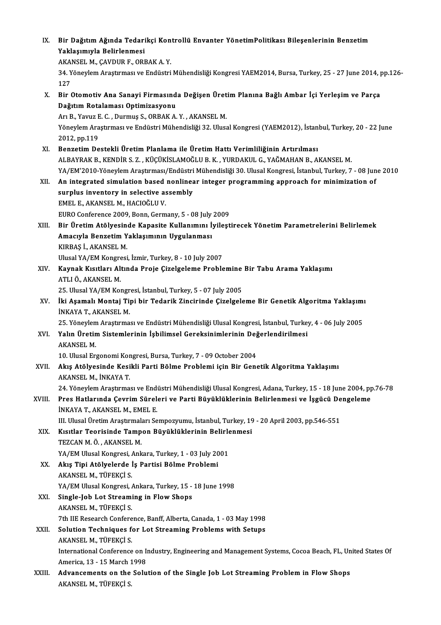| IX.    | Bir Dağıtım Ağında Tedarikçi Kontrollü Envanter YönetimPolitikası Bileşenlerinin Benzetim                             |
|--------|-----------------------------------------------------------------------------------------------------------------------|
|        | Yaklaşımıyla Belirlenmesi                                                                                             |
|        | AKANSEL M., CAVDUR F., ORBAK A.Y.                                                                                     |
|        | 34. Yöneylem Araştırması ve Endüstri Mühendisliği Kongresi YAEM2014, Bursa, Turkey, 25 - 27 June 2014, pp.126-<br>127 |
| X.     | Bir Otomotiv Ana Sanayi Firmasında Değişen Üretim Planına Bağlı Ambar İçi Yerleşim ve Parça                           |
|        | Dağıtım Rotalaması Optimizasyonu                                                                                      |
|        | Arı B., Yavuz E. C., Durmuş S., ORBAK A. Y., AKANSEL M.                                                               |
|        | Yöneylem Araştırması ve Endüstri Mühendisliği 32. Ulusal Kongresi (YAEM2012), İstanbul, Turkey, 20 - 22 June          |
|        | 2012, pp 119                                                                                                          |
| XI.    | Benzetim Destekli Üretim Planlama ile Üretim Hattı Verimliliğinin Artırılması                                         |
|        | ALBAYRAK B., KENDİR S. Z., KÜÇÜKİSLAMOĞLU B. K., YURDAKUL G., YAĞMAHAN B., AKANSEL M.                                 |
|        | YA/EM'2010-Yöneylem Araştırması/Endüstri Mühendisliği 30. Ulusal Kongresi, İstanbul, Turkey, 7 - 08 June 2010         |
| XII.   | An integrated simulation based nonlinear integer programming approach for minimization of                             |
|        | surplus inventory in selective assembly                                                                               |
|        | EMEL E., AKANSEL M., HACIOĞLU V.                                                                                      |
|        | EURO Conference 2009, Bonn, Germany, 5 - 08 July 2009                                                                 |
| XIII.  | Bir Üretim Atölyesinde Kapasite Kullanımını İyileştirecek Yönetim Parametrelerini Belirlemek                          |
|        | Amacıyla Benzetim Yaklaşımının Uygulanması                                                                            |
|        | KIRBAŞ İ., AKANSEL M.                                                                                                 |
|        | Ulusal YA/EM Kongresi, İzmir, Turkey, 8 - 10 July 2007                                                                |
| XIV.   | Kaynak Kısıtları Altında Proje Çizelgeleme Problemine Bir Tabu Arama Yaklaşımı                                        |
|        | ATLI Ö., AKANSEL M.                                                                                                   |
|        | 25. Ulusal YA/EM Kongresi, İstanbul, Turkey, 5 - 07 July 2005                                                         |
| XV.    | İki Aşamalı Montaj Tipi bir Tedarik Zincirinde Çizelgeleme Bir Genetik Algoritma Yaklaşımı                            |
|        | <b>İNKAYA T., AKANSEL M.</b>                                                                                          |
|        | 25. Yöneylem Araştırması ve Endüstri Mühendisliği Ulusal Kongresi, İstanbul, Turkey, 4 - 06 July 2005                 |
| XVI.   | Yalın Üretim Sistemlerinin İşbilimsel Gereksinimlerinin Değerlendirilmesi<br>AKANSEL M.                               |
|        | 10. Ulusal Ergonomi Kongresi, Bursa, Turkey, 7 - 09 October 2004                                                      |
| XVII.  | Akış Atölyesinde Kesikli Parti Bölme Problemi için Bir Genetik Algoritma Yaklaşımı                                    |
|        | AKANSEL M., İNKAYA T.                                                                                                 |
|        | 24. Yöneylem Araştırması ve Endüstri Mühendisliği Ulusal Kongresi, Adana, Turkey, 15 - 18 June 2004, pp.76-78         |
| XVIII. | Pres Hatlarında Çevrim Süreleri ve Parti Büyüklüklerinin Belirlenmesi ve İşgücü Dengeleme                             |
|        | INKAYA T., AKANSEL M., EMEL E.                                                                                        |
|        | III. Ulusal Üretim Araştırmaları Sempozyumu, İstanbul, Turkey, 19 - 20 April 2003, pp.546-551                         |
| XIX.   | Kısıtlar Teorisinde Tampon Büyüklüklerinin Belirlenmesi                                                               |
|        | TEZCAN M. Ö., AKANSEL M.                                                                                              |
|        | YA/EM Ulusal Kongresi, Ankara, Turkey, 1 - 03 July 2001                                                               |
| XX.    | Akış Tipi Atölyelerde İş Partisi Bölme Problemi                                                                       |
|        | AKANSEL M., TÜFEKÇİ S.                                                                                                |
|        | YA/EM Ulusal Kongresi, Ankara, Turkey, 15 - 18 June 1998                                                              |
| XXI.   | Single-Job Lot Streaming in Flow Shops                                                                                |
|        | AKANSEL M., TÜFEKÇİ S.                                                                                                |
|        | 7th IIE Research Conference, Banff, Alberta, Canada, 1 - 03 May 1998                                                  |
| XXII.  | Solution Techniques for Lot Streaming Problems with Setups                                                            |
|        | AKANSEL M., TÜFEKÇİ S.                                                                                                |
|        | International Conference on Industry, Engineering and Management Systems, Cocoa Beach, FL, United States Of           |
|        | America, 13 - 15 March 1998                                                                                           |
| XXIII. | Advancements on the Solution of the Single Job Lot Streaming Problem in Flow Shops                                    |
|        | AKANSEL M., TÜFEKÇİ S.                                                                                                |